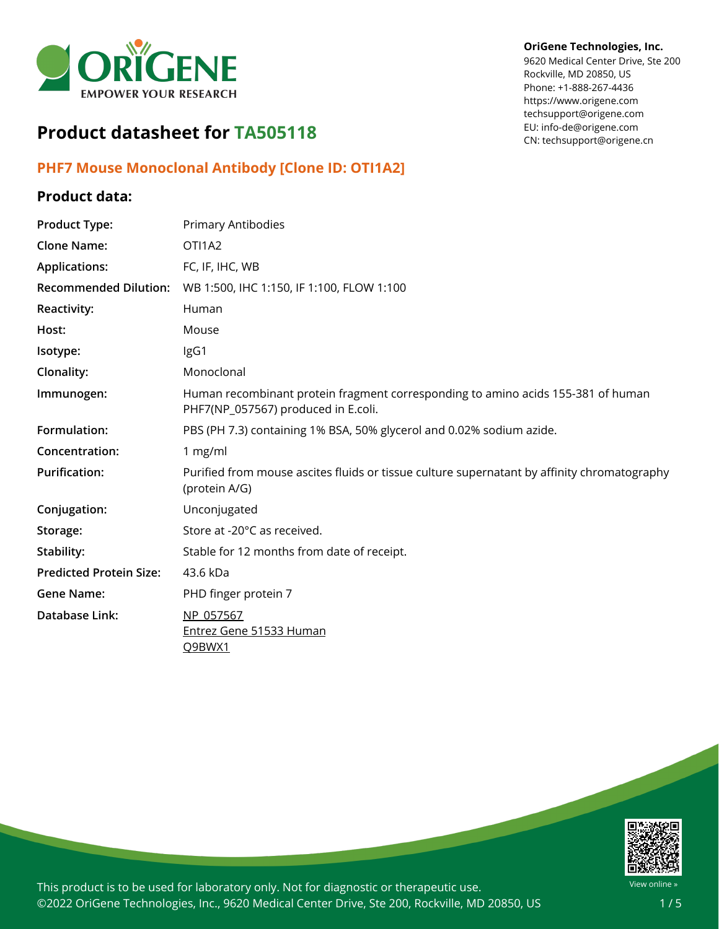

# **Product datasheet for TA505118**

## **PHF7 Mouse Monoclonal Antibody [Clone ID: OTI1A2]**

## **Product data:**

# **Product Type:** Primary Antibodies **Clone Name:** OTI1A2 **Applications:** FC, IF, IHC, WB **Recommended Dilution:** WB 1:500, IHC 1:150, IF 1:100, FLOW 1:100 **Reactivity:** Human **Host:** Mouse **Isotype:** IgG1 **Clonality:** Monoclonal **Immunogen:** Human recombinant protein fragment corresponding to amino acids 155-381 of human PHF7(NP\_057567) produced in E.coli. **Formulation:** PBS (PH 7.3) containing 1% BSA, 50% glycerol and 0.02% sodium azide. **Concentration:** 1 mg/ml **Purification:** Purified from mouse ascites fluids or tissue culture supernatant by affinity chromatography (protein A/G) **Conjugation:** Unconjugated Storage: Store at -20°C as received. **Stability:** Stable for 12 months from date of receipt. **Predicted Protein Size:** 43.6 kDa **Gene Name:** PHD finger protein 7 **Database Link:** [NP\\_057567](https://www.ncbi.nlm.nih.gov/protein/NP_057567) Entrez Gene 51533 [Human](https://www.ncbi.nlm.nih.gov/gene?cmd=Retrieve&dopt=Graphics&list_uids=51533) [Q9BWX1](https://www.uniprot.org/uniprot/Q9BWX1)



This product is to be used for laboratory only. Not for diagnostic or therapeutic use. ©2022 OriGene Technologies, Inc., 9620 Medical Center Drive, Ste 200, Rockville, MD 20850, US

#### **OriGene Technologies, Inc.**

9620 Medical Center Drive, Ste 200 Rockville, MD 20850, US Phone: +1-888-267-4436 https://www.origene.com techsupport@origene.com EU: info-de@origene.com CN: techsupport@origene.cn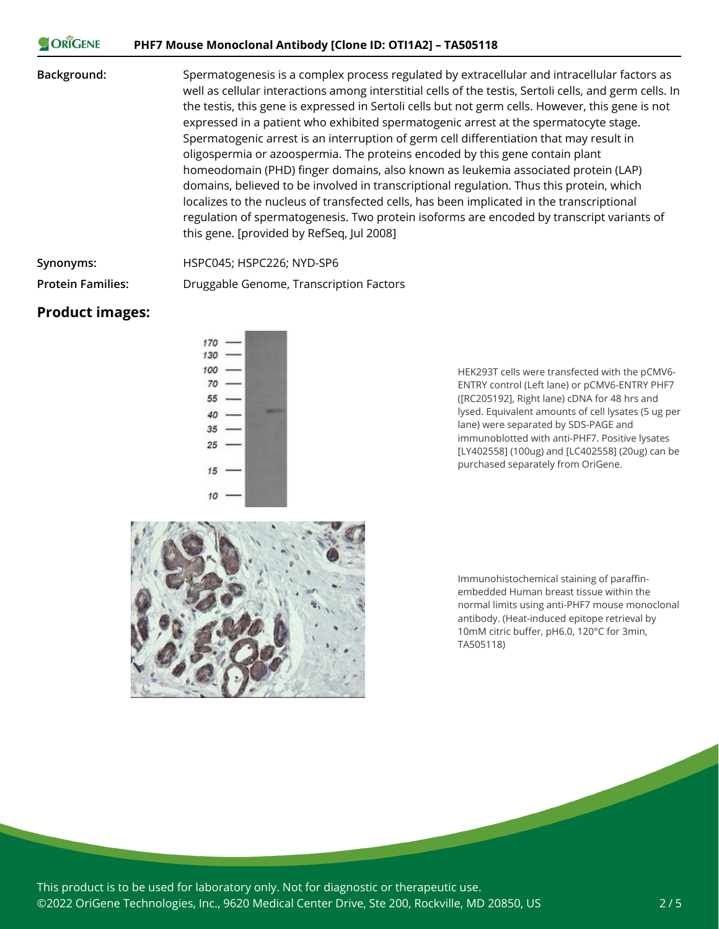#### ORIGENE **PHF7 Mouse Monoclonal Antibody [Clone ID: OTI1A2] – TA505118**

**Background:** Spermatogenesis is a complex process regulated by extracellular and intracellular factors as well as cellular interactions among interstitial cells of the testis, Sertoli cells, and germ cells. In the testis, this gene is expressed in Sertoli cells but not germ cells. However, this gene is not expressed in a patient who exhibited spermatogenic arrest at the spermatocyte stage. Spermatogenic arrest is an interruption of germ cell differentiation that may result in oligospermia or azoospermia. The proteins encoded by this gene contain plant homeodomain (PHD) finger domains, also known as leukemia associated protein (LAP) domains, believed to be involved in transcriptional regulation. Thus this protein, which localizes to the nucleus of transfected cells, has been implicated in the transcriptional regulation of spermatogenesis. Two protein isoforms are encoded by transcript variants of this gene. [provided by RefSeq, Jul 2008]

**Synonyms:** HSPC045; HSPC226; NYD-SP6

**Protein Families:** Druggable Genome, Transcription Factors

### **Product images:**



HEK293T cells were transfected with the pCMV6- ENTRY control (Left lane) or pCMV6-ENTRY PHF7 ([RC205192], Right lane) cDNA for 48 hrs and lysed. Equivalent amounts of cell lysates (5 ug per lane) were separated by SDS-PAGE and immunoblotted with anti-PHF7. Positive lysates [LY402558] (100ug) and [LC402558] (20ug) can be purchased separately from OriGene.



Immunohistochemical staining of paraffinembedded Human breast tissue within the normal limits using anti-PHF7 mouse monoclonal antibody. (Heat-induced epitope retrieval by 10mM citric buffer, pH6.0, 120°C for 3min, TA505118)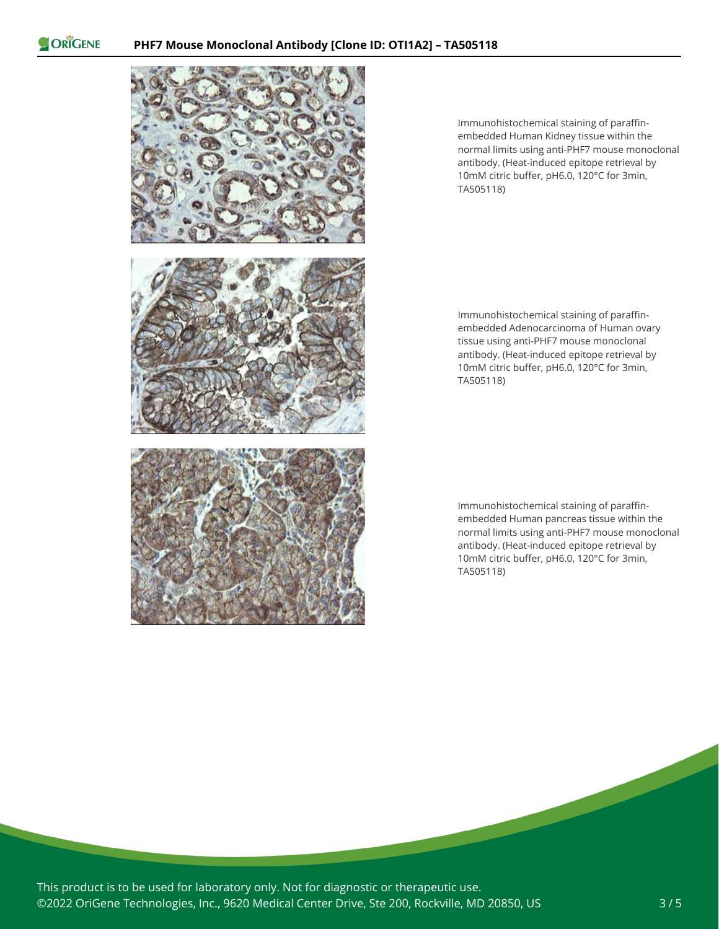ORIGENE



Immunohistochemical staining of paraffinembedded Human Kidney tissue within the normal limits using anti-PHF7 mouse monoclonal antibody. (Heat-induced epitope retrieval by 10mM citric buffer, pH6.0, 120°C for 3min, TA505118)

Immunohistochemical staining of paraffinembedded Adenocarcinoma of Human ovary tissue using anti-PHF7 mouse monoclonal antibody. (Heat-induced epitope retrieval by 10mM citric buffer, pH6.0, 120°C for 3min, TA505118)

Immunohistochemical staining of paraffinembedded Human pancreas tissue within the normal limits using anti-PHF7 mouse monoclonal antibody. (Heat-induced epitope retrieval by 10mM citric buffer, pH6.0, 120°C for 3min, TA505118)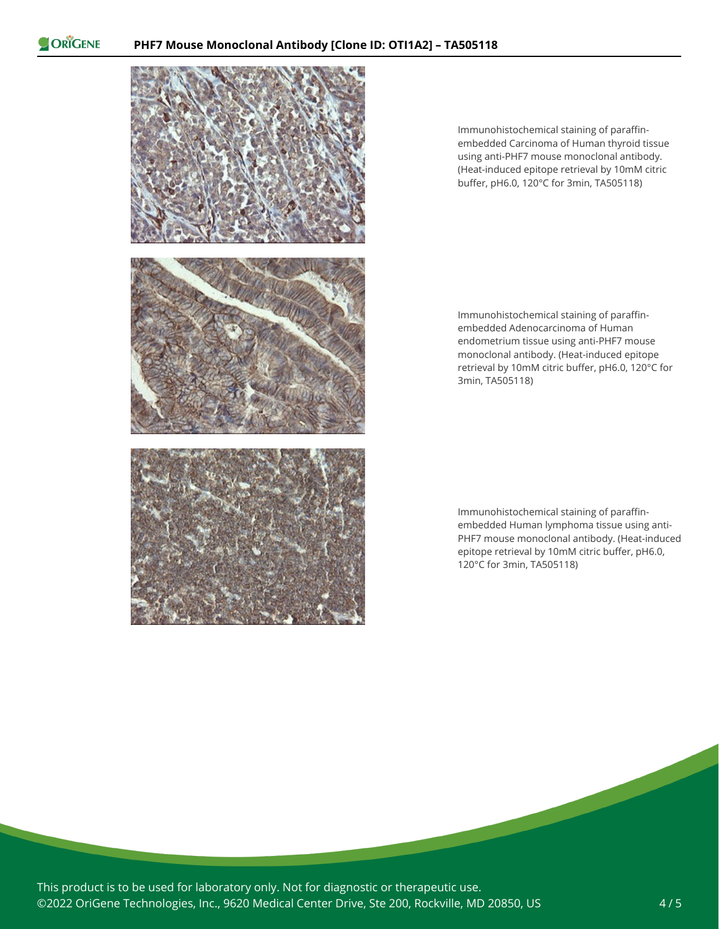ORIGENE



Immunohistochemical staining of paraffinembedded Carcinoma of Human thyroid tissue using anti-PHF7 mouse monoclonal antibody. (Heat-induced epitope retrieval by 10mM citric buffer, pH6.0, 120°C for 3min, TA505118)

Immunohistochemical staining of paraffinembedded Adenocarcinoma of Human endometrium tissue using anti-PHF7 mouse monoclonal antibody. (Heat-induced epitope retrieval by 10mM citric buffer, pH6.0, 120°C for 3min, TA505118)

Immunohistochemical staining of paraffinembedded Human lymphoma tissue using anti-PHF7 mouse monoclonal antibody. (Heat-induced epitope retrieval by 10mM citric buffer, pH6.0, 120°C for 3min, TA505118)